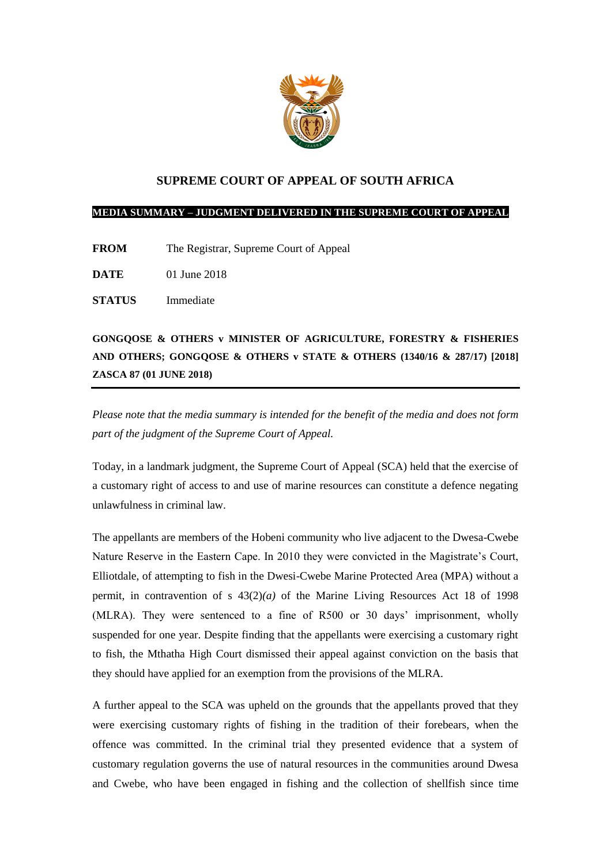

## **SUPREME COURT OF APPEAL OF SOUTH AFRICA**

## **MEDIA SUMMARY – JUDGMENT DELIVERED IN THE SUPREME COURT OF APPEAL**

- **FROM** The Registrar, Supreme Court of Appeal
- **DATE** 01 June 2018
- **STATUS** Immediate

**GONGQOSE & OTHERS v MINISTER OF AGRICULTURE, FORESTRY & FISHERIES AND OTHERS; GONGQOSE & OTHERS v STATE & OTHERS (1340/16 & 287/17) [2018] ZASCA 87 (01 JUNE 2018)**

*Please note that the media summary is intended for the benefit of the media and does not form part of the judgment of the Supreme Court of Appeal.*

Today, in a landmark judgment, the Supreme Court of Appeal (SCA) held that the exercise of a customary right of access to and use of marine resources can constitute a defence negating unlawfulness in criminal law.

The appellants are members of the Hobeni community who live adjacent to the Dwesa-Cwebe Nature Reserve in the Eastern Cape. In 2010 they were convicted in the Magistrate's Court, Elliotdale, of attempting to fish in the Dwesi-Cwebe Marine Protected Area (MPA) without a permit, in contravention of s 43(2)*(a)* of the Marine Living Resources Act 18 of 1998 (MLRA). They were sentenced to a fine of R500 or 30 days' imprisonment, wholly suspended for one year. Despite finding that the appellants were exercising a customary right to fish, the Mthatha High Court dismissed their appeal against conviction on the basis that they should have applied for an exemption from the provisions of the MLRA.

A further appeal to the SCA was upheld on the grounds that the appellants proved that they were exercising customary rights of fishing in the tradition of their forebears, when the offence was committed. In the criminal trial they presented evidence that a system of customary regulation governs the use of natural resources in the communities around Dwesa and Cwebe, who have been engaged in fishing and the collection of shellfish since time